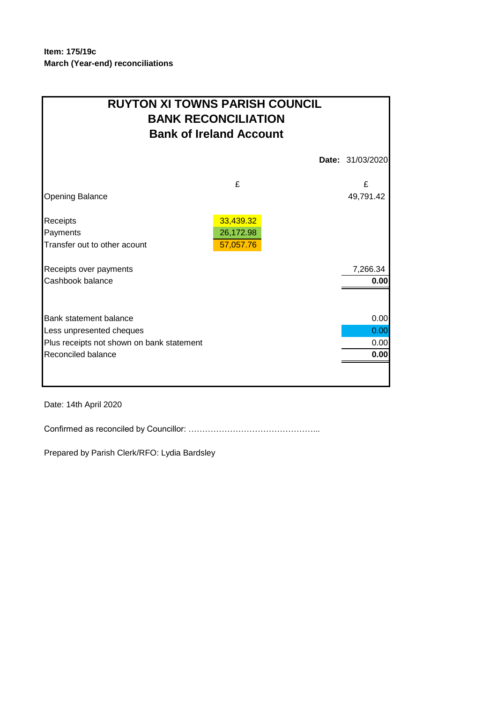| <b>RUYTON XI TOWNS PARISH COUNCIL</b><br><b>BANK RECONCILIATION</b><br><b>Bank of Ireland Account</b> |           |  |                  |  |  |
|-------------------------------------------------------------------------------------------------------|-----------|--|------------------|--|--|
|                                                                                                       |           |  | Date: 31/03/2020 |  |  |
|                                                                                                       | £         |  | £                |  |  |
| <b>Opening Balance</b>                                                                                |           |  | 49,791.42        |  |  |
| Receipts                                                                                              | 33,439.32 |  |                  |  |  |
| Payments                                                                                              | 26,172.98 |  |                  |  |  |
| Transfer out to other acount                                                                          | 57,057.76 |  |                  |  |  |
| Receipts over payments                                                                                |           |  | 7,266.34         |  |  |
| Cashbook balance                                                                                      |           |  | 0.00             |  |  |
|                                                                                                       |           |  |                  |  |  |
| Bank statement balance                                                                                |           |  | 0.00             |  |  |
| Less unpresented cheques                                                                              |           |  | 0.00             |  |  |
| Plus receipts not shown on bank statement                                                             |           |  | 0.00             |  |  |
| Reconciled balance                                                                                    |           |  | 0.00             |  |  |
|                                                                                                       |           |  |                  |  |  |

Date: 14th April 2020

Confirmed as reconciled by Councillor: ………………………………………...

Prepared by Parish Clerk/RFO: Lydia Bardsley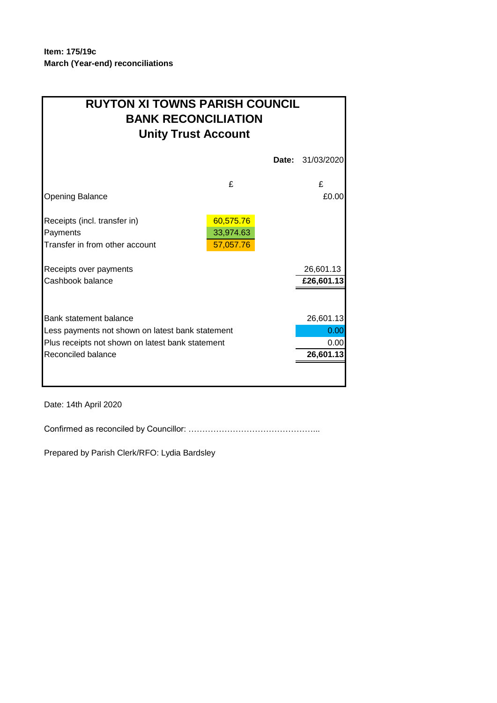## **BANK RECONCILIATION RUYTON XI TOWNS PARISH COUNCIL Unity Trust Account**

| £                                                |  | £          |
|--------------------------------------------------|--|------------|
|                                                  |  | £0.00      |
| 60,575.76                                        |  |            |
| 33,974.63                                        |  |            |
| 57,057.76                                        |  |            |
|                                                  |  | 26,601.13  |
|                                                  |  | £26,601.13 |
|                                                  |  |            |
|                                                  |  | 26,601.13  |
| Less payments not shown on latest bank statement |  |            |
| Plus receipts not shown on latest bank statement |  |            |
|                                                  |  | 26,601.13  |
|                                                  |  |            |
|                                                  |  |            |

Date: 14th April 2020

Confirmed as reconciled by Councillor: ………………………………………...

Prepared by Parish Clerk/RFO: Lydia Bardsley